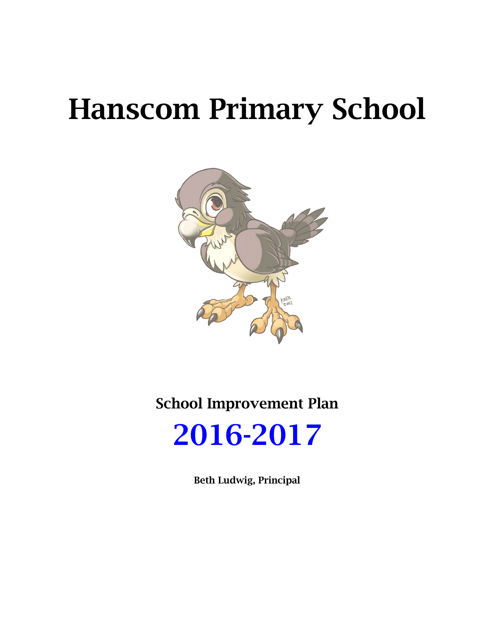# Hanscom Primary School



School Improvement Plan



Beth Ludwig, Principal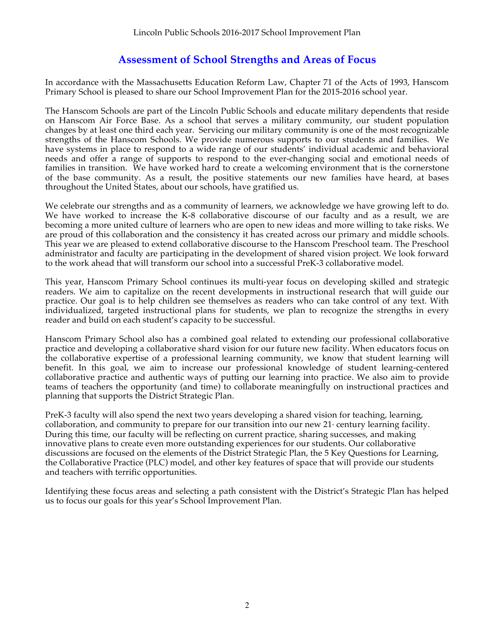#### **Assessment of School Strengths and Areas of Focus**

In accordance with the Massachusetts Education Reform Law, Chapter 71 of the Acts of 1993, Hanscom Primary School is pleased to share our School Improvement Plan for the 2015-2016 school year.

The Hanscom Schools are part of the Lincoln Public Schools and educate military dependents that reside on Hanscom Air Force Base. As a school that serves a military community, our student population changes by at least one third each year. Servicing our military community is one of the most recognizable strengths of the Hanscom Schools. We provide numerous supports to our students and families. We have systems in place to respond to a wide range of our students' individual academic and behavioral needs and offer a range of supports to respond to the ever-changing social and emotional needs of families in transition. We have worked hard to create a welcoming environment that is the cornerstone of the base community. As a result, the positive statements our new families have heard, at bases throughout the United States, about our schools, have gratified us.

We celebrate our strengths and as a community of learners, we acknowledge we have growing left to do. We have worked to increase the K-8 collaborative discourse of our faculty and as a result, we are becoming a more united culture of learners who are open to new ideas and more willing to take risks. We are proud of this collaboration and the consistency it has created across our primary and middle schools. This year we are pleased to extend collaborative discourse to the Hanscom Preschool team. The Preschool administrator and faculty are participating in the development of shared vision project. We look forward to the work ahead that will transform our school into a successful PreK-3 collaborative model.

This year, Hanscom Primary School continues its multi-year focus on developing skilled and strategic readers. We aim to capitalize on the recent developments in instructional research that will guide our practice. Our goal is to help children see themselves as readers who can take control of any text. With individualized, targeted instructional plans for students, we plan to recognize the strengths in every reader and build on each student's capacity to be successful.

Hanscom Primary School also has a combined goal related to extending our professional collaborative practice and developing a collaborative shard vision for our future new facility. When educators focus on the collaborative expertise of a professional learning community, we know that student learning will benefit. In this goal, we aim to increase our professional knowledge of student learning-centered collaborative practice and authentic ways of putting our learning into practice. We also aim to provide teams of teachers the opportunity (and time) to collaborate meaningfully on instructional practices and planning that supports the District Strategic Plan.

PreK-3 faculty will also spend the next two years developing a shared vision for teaching, learning, collaboration, and community to prepare for our transition into our new  $21<sup>*</sup>$  century learning facility. During this time, our faculty will be reflecting on current practice, sharing successes, and making innovative plans to create even more outstanding experiences for our students. Our collaborative discussions are focused on the elements of the District Strategic Plan, the 5 Key Questions for Learning, the Collaborative Practice (PLC) model, and other key features of space that will provide our students and teachers with terrific opportunities.

Identifying these focus areas and selecting a path consistent with the District's Strategic Plan has helped us to focus our goals for this year's School Improvement Plan.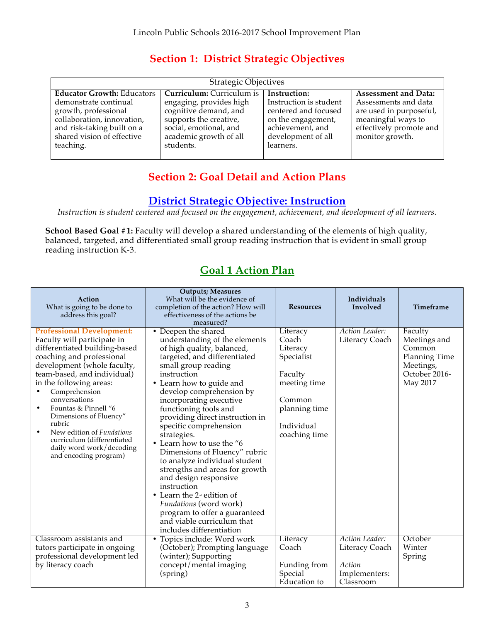#### **Section 1: District Strategic Objectives**

| <b>Strategic Objectives</b>       |                                  |                        |                             |  |  |
|-----------------------------------|----------------------------------|------------------------|-----------------------------|--|--|
| <b>Educator Growth: Educators</b> | <b>Curriculum:</b> Curriculum is | Instruction:           | <b>Assessment and Data:</b> |  |  |
| demonstrate continual             | engaging, provides high          | Instruction is student | Assessments and data        |  |  |
| growth, professional              | cognitive demand, and            | centered and focused   | are used in purposeful,     |  |  |
| collaboration, innovation,        | supports the creative,           | on the engagement,     | meaningful ways to          |  |  |
| and risk-taking built on a        | social, emotional, and           | achievement, and       | effectively promote and     |  |  |
| shared vision of effective        | academic growth of all           | development of all     | monitor growth.             |  |  |
| teaching.                         | students.                        | learners.              |                             |  |  |
|                                   |                                  |                        |                             |  |  |

#### **Section 2: Goal Detail and Action Plans**

#### **District Strategic Objective: Instruction**

*Instruction is student centered and focused on the engagement, achievement, and development of all learners.*

**School Based Goal #1:** Faculty will develop a shared understanding of the elements of high quality, balanced, targeted, and differentiated small group reading instruction that is evident in small group reading instruction K-3.

#### **Goal 1 Action Plan**

| Action<br>What is going to be done to<br>address this goal?                                                                                                                                                                                                                                                                                                                                                                                 | <b>Outputs; Measures</b><br>What will be the evidence of<br>completion of the action? How will<br>effectiveness of the actions be<br>measured?                                                                                                                                                                                                                                                                                                                                                                                                                                                                                                                                        | <b>Resources</b>                                                                                                                 | Individuals<br>Involved                                                  | Timeframe                                                                                    |
|---------------------------------------------------------------------------------------------------------------------------------------------------------------------------------------------------------------------------------------------------------------------------------------------------------------------------------------------------------------------------------------------------------------------------------------------|---------------------------------------------------------------------------------------------------------------------------------------------------------------------------------------------------------------------------------------------------------------------------------------------------------------------------------------------------------------------------------------------------------------------------------------------------------------------------------------------------------------------------------------------------------------------------------------------------------------------------------------------------------------------------------------|----------------------------------------------------------------------------------------------------------------------------------|--------------------------------------------------------------------------|----------------------------------------------------------------------------------------------|
| <b>Professional Development:</b><br>Faculty will participate in<br>differentiated building-based<br>coaching and professional<br>development (whole faculty,<br>team-based, and individual)<br>in the following areas:<br>Comprehension<br>conversations<br>Fountas & Pinnell "6<br>Dimensions of Fluency"<br>rubric<br>New edition of <i>Fundations</i><br>curriculum (differentiated<br>daily word work/decoding<br>and encoding program) | • Deepen the shared<br>understanding of the elements<br>of high quality, balanced,<br>targeted, and differentiated<br>small group reading<br>instruction<br>• Learn how to guide and<br>develop comprehension by<br>incorporating executive<br>functioning tools and<br>providing direct instruction in<br>specific comprehension<br>strategies.<br>• Learn how to use the "6<br>Dimensions of Fluency" rubric<br>to analyze individual student<br>strengths and areas for growth<br>and design responsive<br>instruction<br>• Learn the $2^{\omega}$ edition of<br>Fundations (word work)<br>program to offer a guaranteed<br>and viable curriculum that<br>includes differentiation | Literacy<br>Coach<br>Literacy<br>Specialist<br>Faculty<br>meeting time<br>Common<br>planning time<br>Individual<br>coaching time | Action Leader:<br>Literacy Coach                                         | Faculty<br>Meetings and<br>Common<br>Planning Time<br>Meetings,<br>October 2016-<br>May 2017 |
| Classroom assistants and<br>tutors participate in ongoing<br>professional development led<br>by literacy coach                                                                                                                                                                                                                                                                                                                              | • Topics include: Word work<br>(October); Prompting language<br>(winter); Supporting<br>concept/mental imaging<br>(spring)                                                                                                                                                                                                                                                                                                                                                                                                                                                                                                                                                            | Literacy<br>Coach<br>Funding from<br>Special<br>Education to                                                                     | Action Leader:<br>Literacy Coach<br>Action<br>Implementers:<br>Classroom | October<br>Winter<br>Spring                                                                  |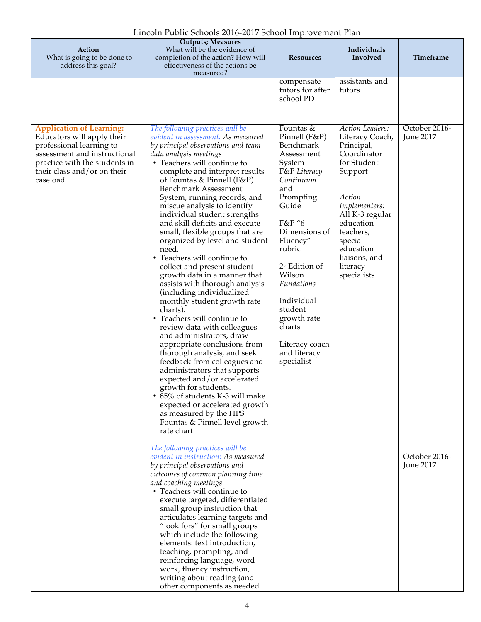| Action<br>What is going to be done to<br>address this goal?                                                                                                                                            | Lincom I apiic benoois 2010-2017 benoof improvement Fian<br><b>Outputs; Measures</b><br>What will be the evidence of<br>completion of the action? How will<br>effectiveness of the actions be                                                                                                                                                                                                                                                                                                                                                                                                                                                                                                                                                                                                                                                                                                                                                                                                                                                                                                                                                                                                                                                                                                                                                                                                                                                                                                                                                                         | <b>Resources</b>                                                                                                                                                                                                                                                                                                                              | Individuals<br>Involved                                                                                                                                                                                                                      | Timeframe                                                              |
|--------------------------------------------------------------------------------------------------------------------------------------------------------------------------------------------------------|-----------------------------------------------------------------------------------------------------------------------------------------------------------------------------------------------------------------------------------------------------------------------------------------------------------------------------------------------------------------------------------------------------------------------------------------------------------------------------------------------------------------------------------------------------------------------------------------------------------------------------------------------------------------------------------------------------------------------------------------------------------------------------------------------------------------------------------------------------------------------------------------------------------------------------------------------------------------------------------------------------------------------------------------------------------------------------------------------------------------------------------------------------------------------------------------------------------------------------------------------------------------------------------------------------------------------------------------------------------------------------------------------------------------------------------------------------------------------------------------------------------------------------------------------------------------------|-----------------------------------------------------------------------------------------------------------------------------------------------------------------------------------------------------------------------------------------------------------------------------------------------------------------------------------------------|----------------------------------------------------------------------------------------------------------------------------------------------------------------------------------------------------------------------------------------------|------------------------------------------------------------------------|
|                                                                                                                                                                                                        | measured?                                                                                                                                                                                                                                                                                                                                                                                                                                                                                                                                                                                                                                                                                                                                                                                                                                                                                                                                                                                                                                                                                                                                                                                                                                                                                                                                                                                                                                                                                                                                                             | compensate<br>tutors for after<br>school PD                                                                                                                                                                                                                                                                                                   | assistants and<br>tutors                                                                                                                                                                                                                     |                                                                        |
| <b>Application of Learning:</b><br>Educators will apply their<br>professional learning to<br>assessment and instructional<br>practice with the students in<br>their class and/or on their<br>caseload. | The following practices will be<br>evident in assessment: As measured<br>by principal observations and team<br>data analysis meetings<br>• Teachers will continue to<br>complete and interpret results<br>of Fountas & Pinnell $(F&P)$<br><b>Benchmark Assessment</b><br>System, running records, and<br>miscue analysis to identify<br>individual student strengths<br>and skill deficits and execute<br>small, flexible groups that are<br>organized by level and student<br>need.<br>• Teachers will continue to<br>collect and present student<br>growth data in a manner that<br>assists with thorough analysis<br>(including individualized<br>monthly student growth rate<br>charts).<br>• Teachers will continue to<br>review data with colleagues<br>and administrators, draw<br>appropriate conclusions from<br>thorough analysis, and seek<br>feedback from colleagues and<br>administrators that supports<br>expected and/or accelerated<br>growth for students.<br>• 85% of students K-3 will make<br>expected or accelerated growth<br>as measured by the HPS<br>Fountas & Pinnell level growth<br>rate chart<br>The following practices will be<br>evident in instruction: As measured<br>by principal observations and<br>outcomes of common planning time<br>and coaching meetings<br>• Teachers will continue to<br>execute targeted, differentiated<br>small group instruction that<br>articulates learning targets and<br>"look fors" for small groups<br>which include the following<br>elements: text introduction,<br>teaching, prompting, and | Fountas &<br>Pinnell (F&P)<br>Benchmark<br>Assessment<br>System<br><b>F&amp;P</b> Literacy<br>Continuum<br>and<br>Prompting<br>Guide<br>F&P "6<br>Dimensions of<br>Fluency"<br>rubric<br>2 <sup>nd</sup> Edition of<br>Wilson<br>Fundations<br>Individual<br>student<br>growth rate<br>charts<br>Literacy coach<br>and literacy<br>specialist | <b>Action Leaders:</b><br>Literacy Coach,<br>Principal,<br>Coordinator<br>for Student<br>Support<br>Action<br>Implementers:<br>All K-3 regular<br>education<br>teachers,<br>special<br>education<br>liaisons, and<br>literacy<br>specialists | October 2016-<br><b>June 2017</b><br>October 2016-<br><b>June 2017</b> |
|                                                                                                                                                                                                        | reinforcing language, word<br>work, fluency instruction,<br>writing about reading (and<br>other components as needed                                                                                                                                                                                                                                                                                                                                                                                                                                                                                                                                                                                                                                                                                                                                                                                                                                                                                                                                                                                                                                                                                                                                                                                                                                                                                                                                                                                                                                                  |                                                                                                                                                                                                                                                                                                                                               |                                                                                                                                                                                                                                              |                                                                        |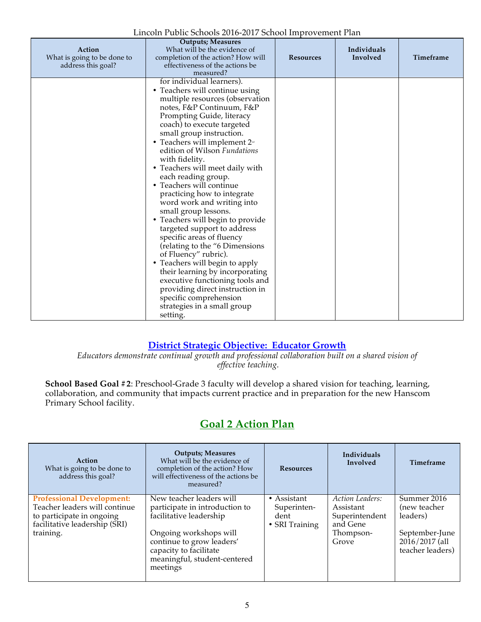| Action<br>What is going to be done to<br>address this goal? | <b>Outputs; Measures</b><br>What will be the evidence of<br>completion of the action? How will<br>effectiveness of the actions be<br>measured?                                                                                                                                                                                                                                                                                                                                                                                                                                                                                                                                                                                                                                                                                                                         | <b>Resources</b> | Individuals<br>Involved | Timeframe |
|-------------------------------------------------------------|------------------------------------------------------------------------------------------------------------------------------------------------------------------------------------------------------------------------------------------------------------------------------------------------------------------------------------------------------------------------------------------------------------------------------------------------------------------------------------------------------------------------------------------------------------------------------------------------------------------------------------------------------------------------------------------------------------------------------------------------------------------------------------------------------------------------------------------------------------------------|------------------|-------------------------|-----------|
|                                                             | for individual learners).<br>• Teachers will continue using<br>multiple resources (observation<br>notes, F&P Continuum, F&P<br>Prompting Guide, literacy<br>coach) to execute targeted<br>small group instruction.<br>• Teachers will implement 2 <sup>nd</sup><br>edition of Wilson Fundations<br>with fidelity.<br>• Teachers will meet daily with<br>each reading group.<br>• Teachers will continue<br>practicing how to integrate<br>word work and writing into<br>small group lessons.<br>• Teachers will begin to provide<br>targeted support to address<br>specific areas of fluency<br>(relating to the "6 Dimensions<br>of Fluency" rubric).<br>• Teachers will begin to apply<br>their learning by incorporating<br>executive functioning tools and<br>providing direct instruction in<br>specific comprehension<br>strategies in a small group<br>setting. |                  |                         |           |

#### **District Strategic Objective: Educator Growth**

*Educators demonstrate continual growth and professional collaboration built on a shared vision of effective teaching.*

**School Based Goal #2**: Preschool-Grade 3 faculty will develop a shared vision for teaching, learning, collaboration, and community that impacts current practice and in preparation for the new Hanscom Primary School facility.

| Action<br>What is going to be done to<br>address this goal?                                                                                  | <b>Outputs</b> ; Measures<br>What will be the evidence of<br>completion of the action? How<br>will effectiveness of the actions be<br>measured?                                                                    | <b>Resources</b>                                             | <b>Individuals</b><br>Involved                                                          | Timeframe                                                                                               |
|----------------------------------------------------------------------------------------------------------------------------------------------|--------------------------------------------------------------------------------------------------------------------------------------------------------------------------------------------------------------------|--------------------------------------------------------------|-----------------------------------------------------------------------------------------|---------------------------------------------------------------------------------------------------------|
| <b>Professional Development:</b><br>Teacher leaders will continue<br>to participate in ongoing<br>facilitative leadership (SRI)<br>training. | New teacher leaders will<br>participate in introduction to<br>facilitative leadership<br>Ongoing workshops will<br>continue to grow leaders'<br>capacity to facilitate<br>meaningful, student-centered<br>meetings | $\bullet$ Assistant<br>Superinten-<br>dent<br>• SRI Training | <b>Action Leaders:</b><br>Assistant<br>Superintendent<br>and Gene<br>Thompson-<br>Grove | Summer 2016<br>(new teacher<br>leaders)<br>September-June<br>$20\bar{1}6/2017$ (all<br>teacher leaders) |

#### **Goal 2 Action Plan**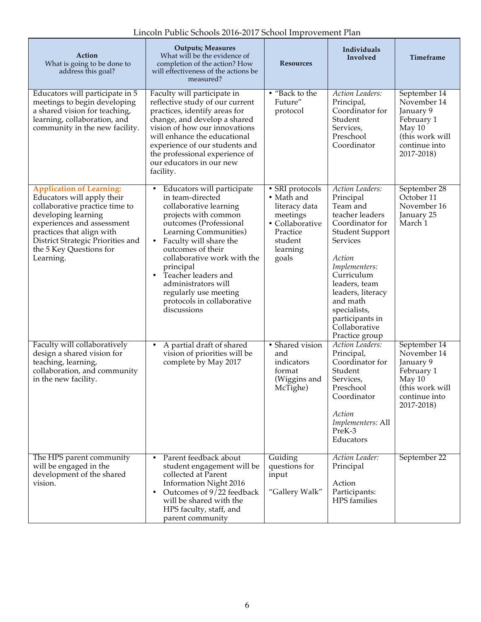|  |  |  |  |  |  | Lincoln Public Schools 2016-2017 School Improvement Plan |
|--|--|--|--|--|--|----------------------------------------------------------|
|--|--|--|--|--|--|----------------------------------------------------------|

| Action<br>What is going to be done to<br>address this goal?                                                                                                                                                                                                    | <b>Outputs; Measures</b><br>What will be the evidence of<br>completion of the action? How<br>will effectiveness of the actions be<br>measured?                                                                                                                                                                                                                                       | <b>Resources</b>                                                                                                          | Individuals<br>Involved                                                                                                                                                                                                                                                                      | Timeframe                                                                                                          |
|----------------------------------------------------------------------------------------------------------------------------------------------------------------------------------------------------------------------------------------------------------------|--------------------------------------------------------------------------------------------------------------------------------------------------------------------------------------------------------------------------------------------------------------------------------------------------------------------------------------------------------------------------------------|---------------------------------------------------------------------------------------------------------------------------|----------------------------------------------------------------------------------------------------------------------------------------------------------------------------------------------------------------------------------------------------------------------------------------------|--------------------------------------------------------------------------------------------------------------------|
| Educators will participate in 5<br>meetings to begin developing<br>a shared vision for teaching,<br>learning, collaboration, and<br>community in the new facility.                                                                                             | Faculty will participate in<br>reflective study of our current<br>practices, identify areas for<br>change, and develop a shared<br>vision of how our innovations<br>will enhance the educational<br>experience of our students and<br>the professional experience of<br>our educators in our new<br>facility.                                                                        | • "Back to the<br>Future"<br>protocol                                                                                     | <b>Action Leaders:</b><br>Principal,<br>Coordinator for<br>Student<br>Services,<br>Preschool<br>Coordinator                                                                                                                                                                                  | September 14<br>November 14<br>January 9<br>February 1<br>May 10<br>(this work will<br>continue into<br>2017-2018) |
| <b>Application of Learning:</b><br>Educators will apply their<br>collaborative practice time to<br>developing learning<br>experiences and assessment<br>practices that align with<br>District Strategic Priorities and<br>the 5 Key Questions for<br>Learning. | Educators will participate<br>٠<br>in team-directed<br>collaborative learning<br>projects with common<br>outcomes (Professional<br>Learning Communities)<br>Faculty will share the<br>$\bullet$<br>outcomes of their<br>collaborative work with the<br>principal<br>Teacher leaders and<br>administrators will<br>regularly use meeting<br>protocols in collaborative<br>discussions | • SRI protocols<br>• Math and<br>literacy data<br>meetings<br>• Collaborative<br>Practice<br>student<br>learning<br>goals | <b>Action Leaders:</b><br>Principal<br>Team and<br>teacher leaders<br>Coordinator for<br><b>Student Support</b><br>Services<br>Action<br>Implementers:<br>Curriculum<br>leaders, team<br>leaders, literacy<br>and math<br>specialists,<br>participants in<br>Collaborative<br>Practice group | September 28<br>October 11<br>November 16<br>January 25<br>March 1                                                 |
| Faculty will collaboratively<br>design a shared vision for<br>teaching, learning,<br>collaboration, and community<br>in the new facility.                                                                                                                      | A partial draft of shared<br>vision of priorities will be<br>complete by May 2017                                                                                                                                                                                                                                                                                                    | • Shared vision<br>and<br>indicators<br>format<br>(Wiggins and<br>McTighe)                                                | <b>Action Leaders:</b><br>Principal,<br>Coordinator for<br>Student<br>Services,<br>Preschool<br>Coordinator<br>Action<br>Implementers: All<br>PreK-3<br>Educators                                                                                                                            | September 14<br>November 14<br>January 9<br>February 1<br>May 10<br>(this work will<br>continue into<br>2017-2018) |
| The HPS parent community<br>will be engaged in the<br>development of the shared<br>vision.                                                                                                                                                                     | Parent feedback about<br>student engagement will be<br>collected at Parent<br>Information Night 2016<br>Outcomes of $9/22$ feedback<br>will be shared with the<br>HPS faculty, staff, and<br>parent community                                                                                                                                                                        | Guiding<br>questions for<br>input<br>"Gallery Walk"                                                                       | Action Leader:<br>Principal<br>Action<br>Participants:<br>HPS families                                                                                                                                                                                                                       | September 22                                                                                                       |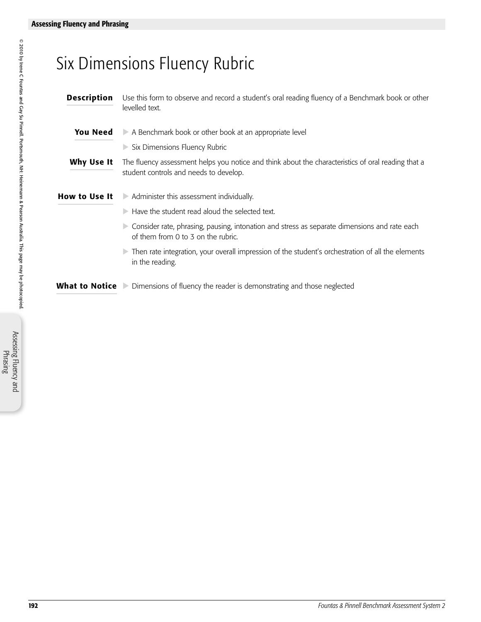## Six Dimensions Fluency Rubric

- Description Use this form to observe and record a student's oral reading fluency of a Benchmark book or other levelled text. **You Need**  $\triangleright$  A Benchmark book or other book at an appropriate level  $\triangleright$  Six Dimensions Fluency Rubric Why Use It The fluency assessment helps you notice and think about the characteristics of oral reading that a student controls and needs to develop. How to Use It Administer this assessment individually.  $\triangleright$  Have the student read aloud the selected text.
	- $\triangleright$  Consider rate, phrasing, pausing, intonation and stress as separate dimensions and rate each of them from 0 to 3 on the rubric.
	- $\triangleright$  Then rate integration, your overall impression of the student's orchestration of all the elements in the reading.

**What to Notice** Dimensions of fluency the reader is demonstrating and those neglected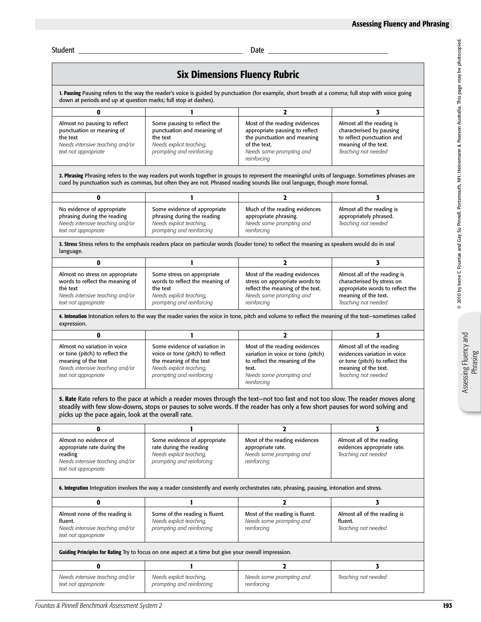Student \_\_\_\_\_\_\_\_\_\_\_\_\_\_\_\_\_\_\_\_\_\_\_\_\_\_\_\_\_\_\_\_\_\_\_\_\_\_\_\_\_ Date \_\_\_\_\_\_\_\_\_\_\_\_\_\_\_\_\_\_\_\_\_\_\_\_\_\_\_\_\_\_

| <b>Six Dimensions Fluency Rubric</b>                                                                                                                                                                                  |                                                                                                                                                       |                                                                                                                                                                                                                                                                                |                                                                                                                                               |  |  |  |
|-----------------------------------------------------------------------------------------------------------------------------------------------------------------------------------------------------------------------|-------------------------------------------------------------------------------------------------------------------------------------------------------|--------------------------------------------------------------------------------------------------------------------------------------------------------------------------------------------------------------------------------------------------------------------------------|-----------------------------------------------------------------------------------------------------------------------------------------------|--|--|--|
| 1. Pausing Pausing refers to the way the reader's voice is guided by punctuation (for example, short breath at a comma; full stop with voice going<br>down at periods and up at question marks; full stop at dashes). |                                                                                                                                                       |                                                                                                                                                                                                                                                                                |                                                                                                                                               |  |  |  |
| 0                                                                                                                                                                                                                     |                                                                                                                                                       | $\mathbf{z}$                                                                                                                                                                                                                                                                   | 3                                                                                                                                             |  |  |  |
| Almost no pausing to reflect<br>punctuation or meaning of<br>the text<br>Needs intensive teaching and/or<br>text not appropriate                                                                                      | Some pausing to reflect the<br>punctuation and meaning of<br>the text<br>Needs explicit teaching,<br>prompting and reinforcing                        | Most of the reading evidences<br>appropriate pausing to reflect<br>the punctuation and meaning<br>of the text.<br>Needs some prompting and<br>reinforcing                                                                                                                      | Almost all the reading is<br>characterised by pausing<br>to reflect punctuation and<br>meaning of the text.<br>Teaching not needed            |  |  |  |
|                                                                                                                                                                                                                       |                                                                                                                                                       | 2. Phrasing Phrasing refers to the way readers put words together in groups to represent the meaningful units of language. Sometimes phrases are<br>cued by punctuation such as commas, but often they are not. Phrased reading sounds like oral language, though more formal. |                                                                                                                                               |  |  |  |
| 0                                                                                                                                                                                                                     | 1                                                                                                                                                     | $\mathbf{2}$                                                                                                                                                                                                                                                                   | 3                                                                                                                                             |  |  |  |
| No evidence of appropriate<br>phrasing during the reading<br>Needs intensive teaching and/or<br>text not appropriate                                                                                                  | Some evidence of appropriate<br>phrasing during the reading<br>Needs explicit teaching,<br>prompting and reinforcing                                  | Much of the reading evidences<br>appropriate phrasing.<br>Needs some prompting and<br>reinforcing                                                                                                                                                                              | Almost all the reading is<br>appropriately phrased.<br>Teaching not needed                                                                    |  |  |  |
| language.                                                                                                                                                                                                             |                                                                                                                                                       | 3. Stress Stress refers to the emphasis readers place on particular words (louder tone) to reflect the meaning as speakers would do in oral                                                                                                                                    |                                                                                                                                               |  |  |  |
| $\mathbf{0}$                                                                                                                                                                                                          | 1                                                                                                                                                     | $\mathbf{2}$                                                                                                                                                                                                                                                                   | 3                                                                                                                                             |  |  |  |
| Almost no stress on appropriate<br>words to reflect the meaning of<br>the text<br>Needs intensive teaching and/or<br>text not appropriate                                                                             | Some stress on appropriate<br>words to reflect the meaning of<br>the text<br>Needs explicit teaching,<br>prompting and reinforcing                    | Most of the reading evidences<br>stress on appropriate words to<br>reflect the meaning of the text.<br>Needs some prompting and<br>reinforcing                                                                                                                                 | Almost all of the reading is<br>characterised by stress on<br>appropriate words to reflect the<br>meaning of the text.<br>Teaching not needed |  |  |  |
| expression.                                                                                                                                                                                                           |                                                                                                                                                       | 4. Intonation Intonation refers to the way the reader varies the voice in tone, pitch and volume to reflect the meaning of the text-sometimes called                                                                                                                           |                                                                                                                                               |  |  |  |
| 0                                                                                                                                                                                                                     | 1                                                                                                                                                     | $\mathbf{2}$                                                                                                                                                                                                                                                                   | 3                                                                                                                                             |  |  |  |
| Almost no variation in voice<br>or tone (pitch) to reflect the<br>meaning of the text<br>Needs intensive teaching and/or<br>text not appropriate                                                                      | Some evidence of variation in<br>voice or tone (pitch) to reflect<br>the meaning of the text<br>Needs explicit teaching,<br>prompting and reinforcing | Most of the reading evidences<br>variation in voice or tone (pitch)<br>to reflect the meaning of the<br>text.<br>Needs some prompting and<br>reinforcing                                                                                                                       | Almost all of the reading<br>evidences variation in voice<br>or tone (pitch) to reflect the<br>meaning of the text.<br>Teaching not needed    |  |  |  |
| picks up the pace again, look at the overall rate.                                                                                                                                                                    |                                                                                                                                                       | 5. Rate Rate refers to the pace at which a reader moves through the text-not too fast and not too slow. The reader moves along<br>steadily with few slow-downs, stops or pauses to solve words. If the reader has only a few short pauses for word solving and                 |                                                                                                                                               |  |  |  |
| 0                                                                                                                                                                                                                     |                                                                                                                                                       | $\mathbf{2}$                                                                                                                                                                                                                                                                   | 3                                                                                                                                             |  |  |  |
| Almost no evidence of<br>appropriate rate during the<br>reading<br>Needs intensive teaching and/or<br>text not appropriate                                                                                            | Some evidence of appropriate<br>rate during the reading<br>Needs explicit teaching,<br>prompting and reinforcing                                      | Most of the reading evidences<br>appropriate rate.<br>Needs some prompting and<br>reinforcing                                                                                                                                                                                  | Almost all of the reading<br>evidences appropriate rate.<br>Teaching not needed                                                               |  |  |  |
| 6. Integration Integration involves the way a reader consistently and evenly orchestrates rate, phrasing, pausing, intonation and stress.                                                                             |                                                                                                                                                       |                                                                                                                                                                                                                                                                                |                                                                                                                                               |  |  |  |
| 0                                                                                                                                                                                                                     | ı                                                                                                                                                     | 2                                                                                                                                                                                                                                                                              | 3                                                                                                                                             |  |  |  |
| Almost none of the reading is<br>fluent.<br>Needs intensive teaching and/or<br>text not appropriate                                                                                                                   | Some of the reading is fluent.<br>Needs explicit teaching,<br>prompting and reinforcing                                                               | Most of the reading is fluent.<br>Needs some prompting and<br>reinforcing                                                                                                                                                                                                      | Almost all of the reading is<br>fluent.<br>Teaching not needed                                                                                |  |  |  |
|                                                                                                                                                                                                                       | Guiding Principles for Rating Try to focus on one aspect at a time but give your overall impression.                                                  |                                                                                                                                                                                                                                                                                |                                                                                                                                               |  |  |  |
| 0                                                                                                                                                                                                                     | ı                                                                                                                                                     | 2                                                                                                                                                                                                                                                                              | 3                                                                                                                                             |  |  |  |
| Needs intensive teaching and/or<br>text not appropriate                                                                                                                                                               | Needs explicit teaching,<br>prompting and reinforcing                                                                                                 | Needs some prompting and<br>reinforcing                                                                                                                                                                                                                                        | Teaching not needed                                                                                                                           |  |  |  |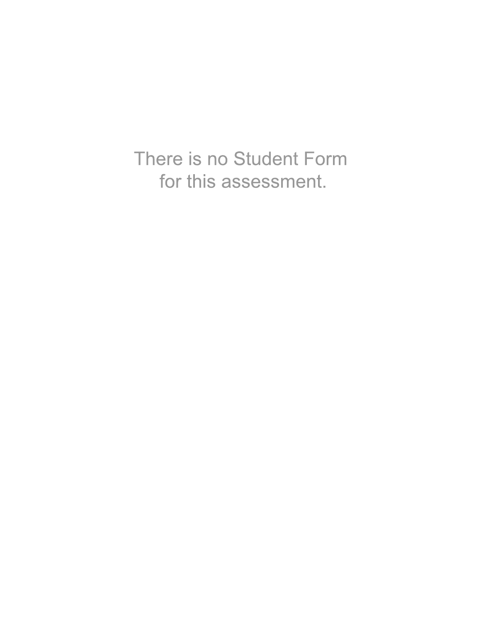There is no Student Form for this assessment.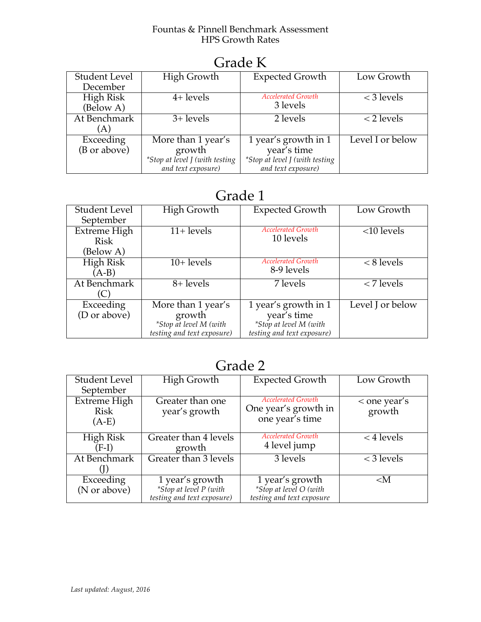#### Fountas & Pinnell Benchmark Assessment HPS Growth Rates

| OTAAC IS         |                                 |                                |                  |  |  |  |
|------------------|---------------------------------|--------------------------------|------------------|--|--|--|
| Student Level    | High Growth                     | <b>Expected Growth</b>         | Low Growth       |  |  |  |
| December         |                                 |                                |                  |  |  |  |
| <b>High Risk</b> | $4+$ levels                     | <b>Accelerated Growth</b>      | $<$ 3 levels     |  |  |  |
| (Below A)        |                                 | 3 levels                       |                  |  |  |  |
| At Benchmark     | $\overline{3}$ + levels         | 2 levels                       | $<$ 2 levels     |  |  |  |
| (A)              |                                 |                                |                  |  |  |  |
| Exceeding        | More than $\overline{1}$ year's | 1 year's growth in 1           | Level I or below |  |  |  |
| (B or above)     | growth                          | year's time                    |                  |  |  |  |
|                  | *Stop at level J (with testing  | *Stop at level J (with testing |                  |  |  |  |
|                  | and text exposure)              | and text exposure)             |                  |  |  |  |

### Grade K

## Grade 1

| <b>Student Level</b> | <b>High Growth</b>         | <b>Expected Growth</b>     | Low Growth            |
|----------------------|----------------------------|----------------------------|-----------------------|
| September            |                            |                            |                       |
| Extreme High         | $11 + levels$              | <b>Accelerated Growth</b>  | $<$ 10 levels         |
| <b>Risk</b>          |                            | 10 levels                  |                       |
| (Below A)            |                            |                            |                       |
| High Risk            | $10+$ levels               | <b>Accelerated Growth</b>  | $\overline{8}$ levels |
| $(A-B)$              |                            | 8-9 levels                 |                       |
| At Benchmark         | 8+ levels                  | 7 levels                   | $<$ 7 levels          |
| (C)                  |                            |                            |                       |
| Exceeding            | More than 1 year's         | 1 year's growth in 1       | Level J or below      |
| (D or above)         | growth                     | year's time                |                       |
|                      | *Stop at level M (with     | *Stop at level M (with     |                       |
|                      | testing and text exposure) | testing and text exposure) |                       |

## Grade 2

| <b>Student Level</b><br>September             | <b>High Growth</b>                                                                   | <b>Expected Growth</b>                                                   | Low Growth               |
|-----------------------------------------------|--------------------------------------------------------------------------------------|--------------------------------------------------------------------------|--------------------------|
| <b>Extreme High</b><br><b>Risk</b><br>$(A-E)$ | Greater than one<br>year's growth                                                    | <b>Accelerated Growth</b><br>One year's growth in<br>one year's time     | $<$ one year's<br>growth |
| High Risk<br>$(F-I)$                          | Greater than 4 levels<br>growth                                                      | <b>Accelerated Growth</b><br>4 level jump                                | $<$ 4 levels             |
| At Benchmark                                  | Greater than 3 levels                                                                | 3 levels                                                                 | $<$ 3 levels             |
| Exceeding<br>(N or above)                     | $\overline{1}$ year's growth<br>*Stop at level P (with<br>testing and text exposure) | 1 year's growth<br>*Stop at level $O$ (with<br>testing and text exposure | $<$ M                    |